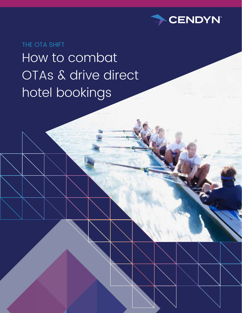

THE OTA SHIFT How to combat OTAs & drive direct hotel bookings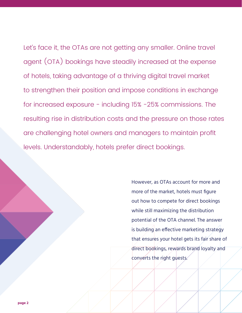Let's face it, the OTAs are not getting any smaller. Online travel agent (OTA) bookings have steadily increased at the expense of hotels, taking advantage of a thriving digital travel market to strengthen their position and impose conditions in exchange for increased exposure - including 15% -25% commissions. The resulting rise in distribution costs and the pressure on those rates are challenging hotel owners and managers to maintain profit levels. Understandably, hotels prefer direct bookings.

> However, as OTAs account for more and more of the market, hotels must figure out how to compete for direct bookings while still maximizing the distribution potential of the OTA channel. The answer is building an effective marketing strategy that ensures your hotel gets its fair share of direct bookings, rewards brand loyalty and converts the right guests.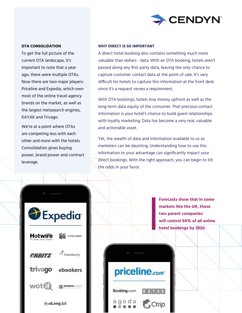

### **OTA CONSOLIDATION**

To get the full picture of the current OTA landscape, it's important to note that a year ago, there were multiple OTAs. Now there are two major players: Priceline and Expedia, which own most of the online travel agency brands on the market, as well as the largest metasearch engines, KAYAK and Trivago.

We're at a point where OTAs are competing less with each other and more with the hotels. Consolidation gives buying power, brand power and contract leverage.

### **WHY DIRECT IS SO IMPORTANT**

A direct hotel booking also contains something much more valuable than dollars - data. With an OTA booking, hotels aren't passed along any first-party data, leaving the only chance to capture customer contact data at the point of sale. It's very difficult for hotels to capture this information at the front desk since it's a request verses a requirement.

With OTA bookings, hotels lose money upfront as well as the long-term data equity of the consumer. That precious contact information is your hotel's chance to build guest relationships with loyalty marketing. Data has become a very real, valuable and actionable asset.

Yet, the wealth of data and information available to us as marketers can be daunting. Understanding how to use this information to your advantage can significantly impact your direct bookings. With the right approach, you can begin to tilt the odds in your favor.



**Forecasts show that in some markets like the UK, these two parent companies will control 94% of all online hotel bookings by 2020.** 

# priceline.com<sup>®</sup>

Booking.com

agoda Ctrip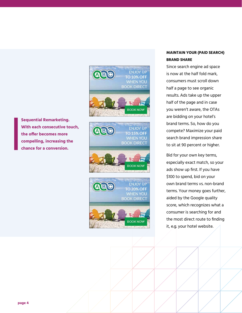

**Sequential Remarketing. With each consecutive touch, the offer becomes more compelling, increasing the chance for a conversion.**



# **MAINTAIN YOUR (PAID SEARCH) BRAND SHARE**

Since search engine ad space is now at the half fold mark, consumers must scroll down half a page to see organic results. Ads take up the upper half of the page and in case you weren't aware, the OTAs are bidding on your hotel's brand terms. So, how do you compete? Maximize your paid search brand impression share to sit at 90 percent or higher.

Bid for your own key terms, especially exact match, so your ads show up first. If you have \$100 to spend, bid on your own brand terms vs. non-brand terms. Your money goes further, aided by the Google quality score, which recognizes what a consumer is searching for and the most direct route to finding it, e.g. your hotel website.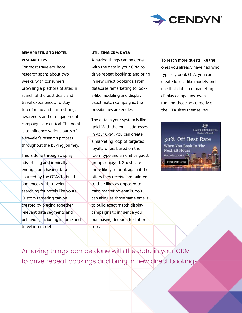

# **REMARKETING TO HOTEL RESEARCHERS**

For most travelers, hotel research spans about two weeks, with consumers browsing a plethora of sites in search of the best deals and travel experiences. To stay top of mind and finish strong, awareness and re-engagement campaigns are critical. The point is to influence various parts of a traveler's research process throughout the buying journey.

This is done through display advertising and ironically enough, purchasing data sourced by the OTAs to build audiences with travelers searching for hotels like yours. Custom targeting can be created by piecing together relevant data segments and behaviors, including income and travel intent details.

## **UTILIZING CRM DATA**

Amazing things can be done with the data in your CRM to drive repeat bookings and bring in new direct bookings. From database remarketing to looka-like modeling and display exact match campaigns, the possibilities are endless.

The data in your system is like gold. With the email addresses in your CRM, you can create a marketing loop of targeted loyalty offers based on the room type and amenities guest groups enjoyed. Guests are more likely to book again if the offers they receive are tailored to their likes as opposed to mass marketing emails. You can also use those same emails to build exact match display campaigns to influence your purchasing decision for future trips.

To reach more guests like the ones you already have had who typically book OTA, you can create look-a-like models and use that data in remarketing display campaigns, even running those ads directly on the OTA sites themselves.

份 **GALT HOUSE HOTEL** 30% Off Best Rate When You Book In The **Next 48 Hours** Use Code: 30CART **RESERVE NOW** 

Amazing things can be done with the data in your CRM to drive repeat bookings and bring in new direct bookings.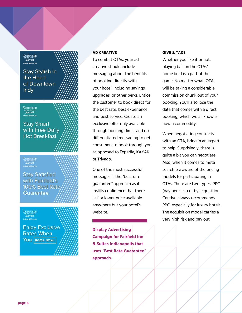Fairfield Marriott. **INDIANAPOLIS** 

# Stay Stylish in the Heart of Downtown **Indy**

FAIRFIELD inng suites<br>**Aaffioll INDIANAPOLIS** 

**Stay Smart** with Free Daily **Hot Breakfast** 

FAIRFIELD<br>INNESUITES<br>Adition

**Stay Satisfied** with Fairfield's 100% Best Rate **Guarantee** 

FAIRFIELD INN&SUITES<br>**Marriott**<br>INDIANAPOLIS

**Enjoy Exclusive Rates When** YOU BOOK NOW!

# **AD CREATIVE**

To combat OTAs, your ad creative should include messaging about the benefits of booking directly with your hotel, including savings, upgrades, or other perks. Entice the customer to book direct for the best rate, best experience and best service. Create an exclusive offer only available through booking direct and use differentiated messaging to get consumers to book through you as opposed to Expedia, KAYAK or Trivago.

One of the most successful messages is the "best rate guarantee" approach as it instills confidence that there isn't a lower price available anywhere but your hotel's website.

**Display Advertising Campaign for Fairfield Inn & Suites Indianapolis that uses "Best Rate Guarantee" approach.**

#### **GIVE & TAKE**

Whether you like it or not, playing ball on the OTAs' home field is a part of the game. No matter what, OTAs will be taking a considerable commission chunk out of your booking. You'll also lose the data that comes with a direct booking, which we all know is now a commodity.

When negotiating contracts with an OTA, bring in an expert to help. Surprisingly, there is quite a bit you can negotiate. Also, when it comes to meta search b e aware of the pricing models for participating in OTAs. There are two types: PPC (pay per click) or by acquisition. Cendyn always recommends PPC, especially for luxury hotels. The acquisition model carries a very high risk and pay out.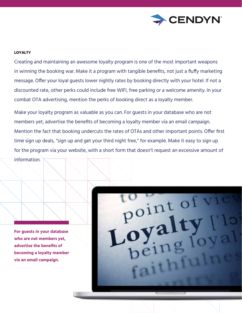

## **LOYALTY**

Creating and maintaining an awesome loyalty program is one of the most important weapons in winning the booking war. Make it a program with tangible benefits, not just a fluffy marketing message. Offer your loyal guests lower nightly rates by booking directly with your hotel. If not a discounted rate, other perks could include free WIFI, free parking or a welcome amenity. In your combat OTA advertising, mention the perks of booking direct as a loyalty member.

Make your loyalty program as valuable as you can. For guests in your database who are not members yet, advertise the benefits of becoming a loyalty member via an email campaign. Mention the fact that booking undercuts the rates of OTAs and other important points. Offer first time sign up deals, "sign up and get your third night free," for example. Make it easy to sign up for the program via your website, with a short form that doesn't request an excessive amount of information.

**For guests in your database who are not members yet, advertise the benefits of becoming a loyalty member via an email campaign.**